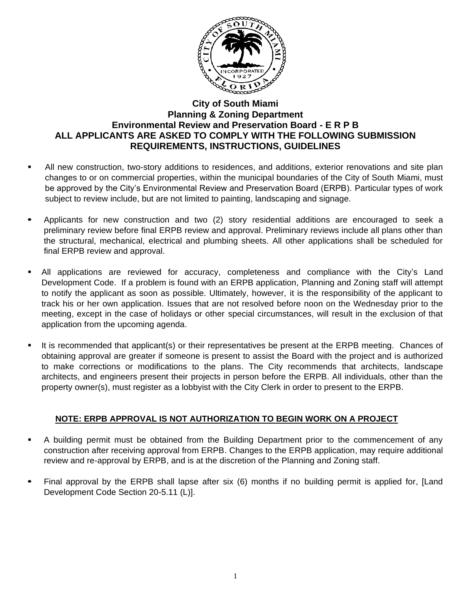

## **City of South Miami Planning & Zoning Department Environmental Review and Preservation Board - E R P B ALL APPLICANTS ARE ASKED TO COMPLY WITH THE FOLLOWING SUBMISSION REQUIREMENTS, INSTRUCTIONS, GUIDELINES**

- All new construction, two-story additions to residences, and additions, exterior renovations and site plan changes to or on commercial properties, within the municipal boundaries of the City of South Miami, must be approved by the City's Environmental Review and Preservation Board (ERPB). Particular types of work subject to review include, but are not limited to painting, landscaping and signage.
- Applicants for new construction and two (2) story residential additions are encouraged to seek a preliminary review before final ERPB review and approval. Preliminary reviews include all plans other than the structural, mechanical, electrical and plumbing sheets. All other applications shall be scheduled for final ERPB review and approval.
- All applications are reviewed for accuracy, completeness and compliance with the City's Land Development Code. If a problem is found with an ERPB application, Planning and Zoning staff will attempt to notify the applicant as soon as possible. Ultimately, however, it is the responsibility of the applicant to track his or her own application. Issues that are not resolved before noon on the Wednesday prior to the meeting, except in the case of holidays or other special circumstances, will result in the exclusion of that application from the upcoming agenda.
- It is recommended that applicant(s) or their representatives be present at the ERPB meeting. Chances of obtaining approval are greater if someone is present to assist the Board with the project and is authorized to make corrections or modifications to the plans. The City recommends that architects, landscape architects, and engineers present their projects in person before the ERPB. All individuals, other than the property owner(s), must register as a lobbyist with the City Clerk in order to present to the ERPB.

## **NOTE: ERPB APPROVAL IS NOT AUTHORIZATION TO BEGIN WORK ON A PROJECT**

- A building permit must be obtained from the Building Department prior to the commencement of any construction after receiving approval from ERPB. Changes to the ERPB application, may require additional review and re-approval by ERPB, and is at the discretion of the Planning and Zoning staff.
- Final approval by the ERPB shall lapse after six (6) months if no building permit is applied for, [Land Development Code Section 20-5.11 (L)].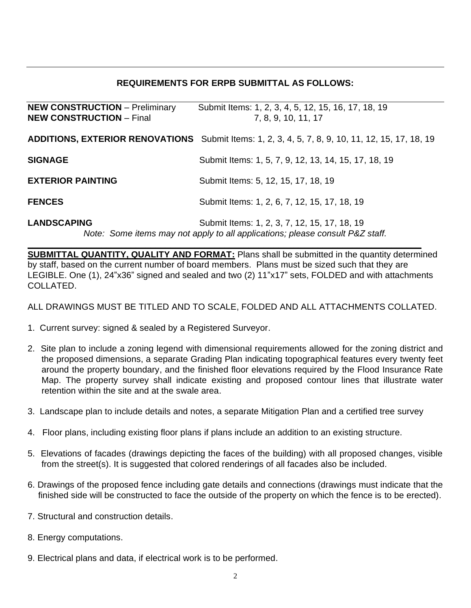## **REQUIREMENTS FOR ERPB SUBMITTAL AS FOLLOWS:**

| <b>NEW CONSTRUCTION - Preliminary</b><br><b>NEW CONSTRUCTION - Final</b> | Submit Items: 1, 2, 3, 4, 5, 12, 15, 16, 17, 18, 19<br>7, 8, 9, 10, 11, 17                                                    |
|--------------------------------------------------------------------------|-------------------------------------------------------------------------------------------------------------------------------|
|                                                                          | <b>ADDITIONS, EXTERIOR RENOVATIONS</b> Submit Items: 1, 2, 3, 4, 5, 7, 8, 9, 10, 11, 12, 15, 17, 18, 19                       |
| <b>SIGNAGE</b>                                                           | Submit Items: 1, 5, 7, 9, 12, 13, 14, 15, 17, 18, 19                                                                          |
| <b>EXTERIOR PAINTING</b>                                                 | Submit Items: 5, 12, 15, 17, 18, 19                                                                                           |
| <b>FENCES</b>                                                            | Submit Items: 1, 2, 6, 7, 12, 15, 17, 18, 19                                                                                  |
| <b>LANDSCAPING</b>                                                       | Submit Items: 1, 2, 3, 7, 12, 15, 17, 18, 19<br>Note: Some items may not apply to all applications; please consult P&Z staff. |

**\_\_\_\_\_\_\_\_\_\_\_\_\_\_\_\_\_\_\_\_\_\_\_\_\_\_\_\_\_\_\_\_\_\_\_\_\_\_\_\_\_\_\_\_\_\_\_\_\_\_\_\_\_\_\_\_\_\_\_\_\_\_\_\_\_\_\_\_\_\_\_\_\_\_\_\_\_\_\_\_ SUBMITTAL QUANTITY, QUALITY AND FORMAT:** Plans shall be submitted in the quantity determined by staff, based on the current number of board members. Plans must be sized such that they are LEGIBLE. One (1), 24"x36" signed and sealed and two (2) 11"x17" sets, FOLDED and with attachments COLLATED.

ALL DRAWINGS MUST BE TITLED AND TO SCALE, FOLDED AND ALL ATTACHMENTS COLLATED.

- 1. Current survey: signed & sealed by a Registered Surveyor.
- 2. Site plan to include a zoning legend with dimensional requirements allowed for the zoning district and the proposed dimensions, a separate Grading Plan indicating topographical features every twenty feet around the property boundary, and the finished floor elevations required by the Flood Insurance Rate Map. The property survey shall indicate existing and proposed contour lines that illustrate water retention within the site and at the swale area.
- 3. Landscape plan to include details and notes, a separate Mitigation Plan and a certified tree survey
- 4. Floor plans, including existing floor plans if plans include an addition to an existing structure.
- 5. Elevations of facades (drawings depicting the faces of the building) with all proposed changes, visible from the street(s). It is suggested that colored renderings of all facades also be included.
- 6. Drawings of the proposed fence including gate details and connections (drawings must indicate that the finished side will be constructed to face the outside of the property on which the fence is to be erected).
- 7. Structural and construction details.
- 8. Energy computations.
- 9. Electrical plans and data, if electrical work is to be performed.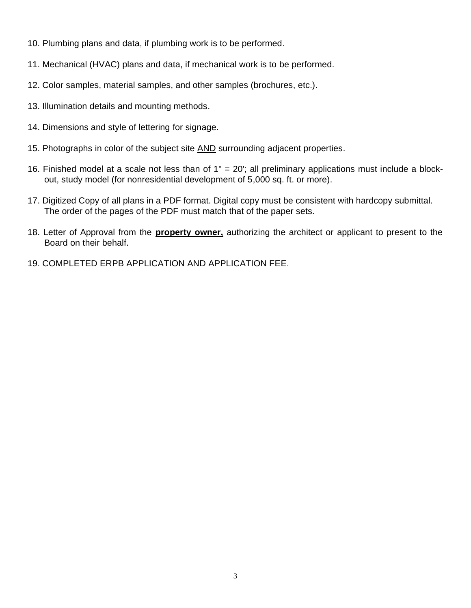- 10. Plumbing plans and data, if plumbing work is to be performed.
- 11. Mechanical (HVAC) plans and data, if mechanical work is to be performed.
- 12. Color samples, material samples, and other samples (brochures, etc.).
- 13. Illumination details and mounting methods.
- 14. Dimensions and style of lettering for signage.
- 15. Photographs in color of the subject site AND surrounding adjacent properties.
- 16. Finished model at a scale not less than of 1" = 20'; all preliminary applications must include a blockout, study model (for nonresidential development of 5,000 sq. ft. or more).
- 17. Digitized Copy of all plans in a PDF format. Digital copy must be consistent with hardcopy submittal. The order of the pages of the PDF must match that of the paper sets.
- 18. Letter of Approval from the **property owner,** authorizing the architect or applicant to present to the Board on their behalf.
- 19. COMPLETED ERPB APPLICATION AND APPLICATION FEE.